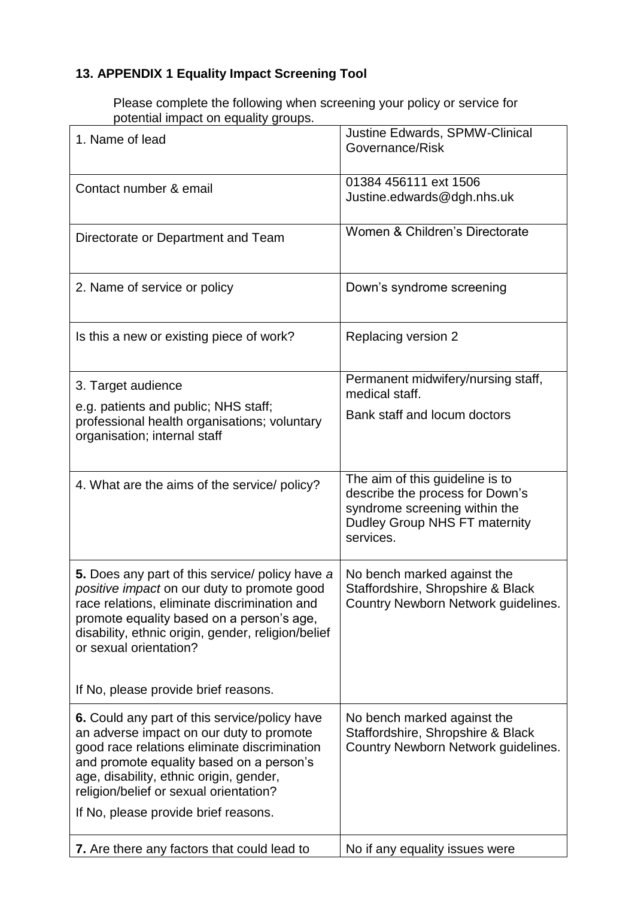## **13. APPENDIX 1 Equality Impact Screening Tool**

Please complete the following when screening your policy or service for potential impact on equality groups.

| 1. Name of lead                                                                                                                                                                                                                                                                                                    | Justine Edwards, SPMW-Clinical<br>Governance/Risk                                                                                                 |
|--------------------------------------------------------------------------------------------------------------------------------------------------------------------------------------------------------------------------------------------------------------------------------------------------------------------|---------------------------------------------------------------------------------------------------------------------------------------------------|
| Contact number & email                                                                                                                                                                                                                                                                                             | 01384 456111 ext 1506<br>Justine.edwards@dgh.nhs.uk                                                                                               |
| Directorate or Department and Team                                                                                                                                                                                                                                                                                 | Women & Children's Directorate                                                                                                                    |
| 2. Name of service or policy                                                                                                                                                                                                                                                                                       | Down's syndrome screening                                                                                                                         |
| Is this a new or existing piece of work?                                                                                                                                                                                                                                                                           | Replacing version 2                                                                                                                               |
| 3. Target audience                                                                                                                                                                                                                                                                                                 | Permanent midwifery/nursing staff,<br>medical staff.                                                                                              |
| e.g. patients and public; NHS staff;<br>professional health organisations; voluntary<br>organisation; internal staff                                                                                                                                                                                               | Bank staff and locum doctors                                                                                                                      |
| 4. What are the aims of the service/ policy?                                                                                                                                                                                                                                                                       | The aim of this guideline is to<br>describe the process for Down's<br>syndrome screening within the<br>Dudley Group NHS FT maternity<br>services. |
| 5. Does any part of this service/ policy have a<br>positive impact on our duty to promote good<br>race relations, eliminate discrimination and<br>promote equality based on a person's age,<br>disability, ethnic origin, gender, religion/belief<br>or sexual orientation?                                        | No bench marked against the<br>Staffordshire, Shropshire & Black<br>Country Newborn Network guidelines.                                           |
| If No, please provide brief reasons.                                                                                                                                                                                                                                                                               |                                                                                                                                                   |
| 6. Could any part of this service/policy have<br>an adverse impact on our duty to promote<br>good race relations eliminate discrimination<br>and promote equality based on a person's<br>age, disability, ethnic origin, gender,<br>religion/belief or sexual orientation?<br>If No, please provide brief reasons. | No bench marked against the<br>Staffordshire, Shropshire & Black<br>Country Newborn Network guidelines.                                           |
|                                                                                                                                                                                                                                                                                                                    |                                                                                                                                                   |
| 7. Are there any factors that could lead to                                                                                                                                                                                                                                                                        | No if any equality issues were                                                                                                                    |